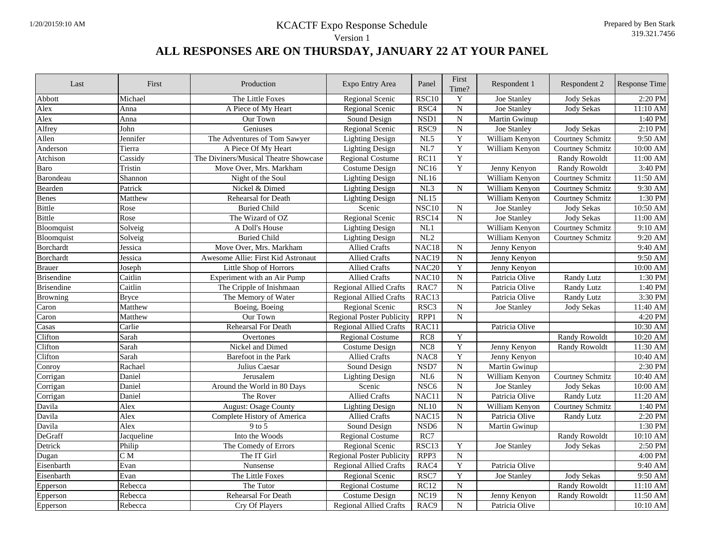| The Little Foxes<br>Y<br>Abbott<br>Michael<br>Regional Scenic<br><b>RSC10</b><br>Joe Stanley<br><b>Jody Sekas</b><br>$\overline{N}$<br>Alex<br>RSC4<br>Joe Stanley<br><b>Jody Sekas</b><br>Anna<br>A Piece of My Heart<br>Regional Scenic | 2:20 PM<br>11:10 AM<br>1:40 PM |
|-------------------------------------------------------------------------------------------------------------------------------------------------------------------------------------------------------------------------------------------|--------------------------------|
|                                                                                                                                                                                                                                           |                                |
|                                                                                                                                                                                                                                           |                                |
| $\overline{\rm N}$<br>Alex<br>NSD1<br>Our Town<br>Sound Design<br>Martin Gwinup<br>Anna                                                                                                                                                   |                                |
| $\overline{N}$<br>Alfrey<br>RSC9<br>John<br>Geniuses<br>Regional Scenic<br>Joe Stanley<br><b>Jody Sekas</b>                                                                                                                               | 2:10 PM                        |
| $\overline{\textbf{Y}}$<br>Allen<br>The Adventures of Tom Sawyer<br>$\overline{\text{NL}5}$<br>William Kenyon<br><b>Courtney Schmitz</b><br>Jennifer<br><b>Lighting Design</b>                                                            | 9:50 AM                        |
| $\overline{\mathbf{Y}}$<br>$\overline{\text{NL7}}$<br>A Piece Of My Heart<br>Anderson<br>Tierra<br><b>Lighting Design</b><br>William Kenyon<br>Courtney Schmitz                                                                           | 10:00 AM                       |
| $\overline{Y}$<br>RC11<br>Atchison<br>Cassidy<br>The Diviners/Musical Theatre Showcase<br><b>Regional Costume</b><br>Randy Rowoldt                                                                                                        | 11:00 AM                       |
| $\overline{\textbf{Y}}$<br>NC16<br>Move Over, Mrs. Markham<br><b>Costume Design</b><br><b>Randy Rowoldt</b><br>Baro<br>Tristin<br>Jenny Kenyon                                                                                            | 3:40 PM                        |
| Barondeau<br>NL16<br>William Kenyon<br>Night of the Soul<br><b>Lighting Design</b><br>Courtney Schmitz<br>Shannon                                                                                                                         | 11:50 AM                       |
| ${\bf N}$<br>Bearden<br>Patrick<br>Nickel & Dimed<br><b>Lighting Design</b><br>NL3<br>William Kenyon<br>Courtney Schmitz                                                                                                                  | 9:30 AM                        |
| NL15<br>Rehearsal for Death<br>William Kenyon<br>Courtney Schmitz<br><b>Benes</b><br>Matthew<br><b>Lighting Design</b>                                                                                                                    | 1:30 PM                        |
| $\overline{N}$<br>$\overline{\text{NSC}}$ 10<br><b>Bittle</b><br><b>Buried Child</b><br>Joe Stanley<br><b>Jody Sekas</b><br>Rose<br>Scenic                                                                                                | 10:50 AM                       |
| <b>Bittle</b><br>$\overline{N}$<br>Rose<br>The Wizard of OZ<br>RSC14<br><b>Joe Stanley</b><br><b>Jody Sekas</b><br>Regional Scenic                                                                                                        | 11:00 AM                       |
| Bloomquist<br>NL1<br>William Kenyon<br>Courtney Schmitz<br>Solveig<br>A Doll's House<br><b>Lighting Design</b>                                                                                                                            | 9:10 AM                        |
| <b>Buried Child</b><br>NL2<br>William Kenyon<br>Bloomquist<br>Solveig<br><b>Lighting Design</b><br>Courtney Schmitz                                                                                                                       | $9:20$ AM                      |
| NAC <sub>18</sub><br>Borchardt<br>Jessica<br>Move Over, Mrs. Markham<br><b>Allied Crafts</b><br>${\bf N}$<br>Jenny Kenyon                                                                                                                 | 9:40 AM                        |
| $\overline{N}$<br><b>Borchardt</b><br>Awesome Allie: First Kid Astronaut<br><b>Allied Crafts</b><br>NAC <sub>19</sub><br>Jessica<br>Jenny Kenyon                                                                                          | 9:50 AM                        |
| $\mathbf Y$<br>NAC <sub>20</sub><br>Jenny Kenyon<br><b>Brauer</b><br>Little Shop of Horrors<br>Allied Crafts<br>Joseph                                                                                                                    | 10:00 AM                       |
| ${\bf N}$<br>Caitlin<br><b>Allied Crafts</b><br>NAC10<br>Patricia Olive<br><b>Brisendine</b><br>Experiment with an Air Pump<br>Randy Lutz                                                                                                 | 1:30 PM                        |
| $\overline{N}$<br><b>Brisendine</b><br>Caitlin<br>The Cripple of Inishmaan<br><b>Regional Allied Crafts</b><br>RAC7<br>Patricia Olive<br><b>Randy Lutz</b>                                                                                | 1:40 PM                        |
| The Memory of Water<br><b>Regional Allied Crafts</b><br>RAC13<br>Patricia Olive<br><b>Browning</b><br><b>Bryce</b><br>Randy Lutz                                                                                                          | 3:30 PM                        |
| RSC <sub>3</sub><br>$\overline{\text{N}}$<br>Matthew<br>Caron<br>Regional Scenic<br>Joe Stanley<br><b>Jody Sekas</b><br>Boeing, Boeing                                                                                                    | 11:40 AM                       |
| RPP1<br>${\bf N}$<br>Caron<br>Matthew<br>Our Town<br><b>Regional Poster Publicity</b>                                                                                                                                                     | 4:20 PM                        |
| Rehearsal For Death<br><b>Regional Allied Crafts</b><br>RAC11<br>Patricia Olive<br>Casas<br>Carlie                                                                                                                                        | 10:30 AM                       |
| $\overline{\textbf{Y}}$<br>Sarah<br><b>Regional Costume</b><br>RC8<br><b>Randy Rowoldt</b><br>Clifton<br>Overtones                                                                                                                        | 10:20 AM                       |
| $\overline{\mathbf{Y}}$<br>Clifton<br>Nickel and Dimed<br>NC8<br>Sarah<br><b>Costume Design</b><br>Jenny Kenyon<br><b>Randy Rowoldt</b>                                                                                                   | 11:30 AM                       |
| $\mathbf Y$<br>Clifton<br>Sarah<br>NAC <sub>8</sub><br>Barefoot in the Park<br><b>Allied Crafts</b><br>Jenny Kenyon                                                                                                                       | 10:40 AM                       |
| $\overline{N}$<br>NSD7<br>Conroy<br>Rachael<br>Julius Caesar<br>Sound Design<br>Martin Gwinup                                                                                                                                             | 2:30 PM                        |
| $\mathbf N$<br>NL6<br>Corrigan<br>Daniel<br>Jerusalem<br>William Kenyon<br>Courtney Schmitz<br><b>Lighting Design</b>                                                                                                                     | 10:40 AM                       |
| $\overline{\text{N}}$<br>Around the World in 80 Days<br>NSC <sub>6</sub><br><b>Jody Sekas</b><br>Corrigan<br>Daniel<br>Scenic<br>Joe Stanley                                                                                              | 10:00 AM                       |
| ${\bf N}$<br>Allied Crafts<br>NAC11<br>Patricia Olive<br>Randy Lutz<br>Daniel<br>The Rover<br>Corrigan                                                                                                                                    | 11:20 AM                       |
| $\overline{\rm N}$<br>Davila<br>Alex<br>NL10<br><b>August: Osage County</b><br><b>Lighting Design</b><br>William Kenyon<br>Courtney Schmitz                                                                                               | 1:40 PM                        |
| $\overline{N}$<br>Davila<br>Alex<br>Complete History of America<br><b>Allied Crafts</b><br>NAC15<br>Patricia Olive<br><b>Randy Lutz</b>                                                                                                   | 2:20 PM                        |
| NSD <sub>6</sub><br>$\overline{N}$<br>Davila<br>Sound Design<br>Alex<br>9 to 5<br>Martin Gwinup                                                                                                                                           | 1:30 PM                        |
| DeGraff<br>Jacqueline<br>Into the Woods<br>RC7<br><b>Regional Costume</b><br><b>Randy Rowoldt</b>                                                                                                                                         | 10:10 AM                       |
| Detrick<br>RSC <sub>13</sub><br>Y<br>Philip<br>The Comedy of Errors<br>Regional Scenic<br>Joe Stanley<br><b>Jody Sekas</b>                                                                                                                | 2:50 PM                        |
| $\overline{N}$<br>RPP3<br>C <sub>M</sub><br>The IT Girl<br><b>Regional Poster Publicity</b><br>Dugan                                                                                                                                      | 4:00 PM                        |
| $\overline{Y}$<br>Patricia Olive<br>Eisenbarth<br>Evan<br>Nunsense<br><b>Regional Allied Crafts</b><br>RAC4                                                                                                                               | 9:40 AM                        |
| $\overline{Y}$<br>Eisenbarth<br>RSC7<br><b>Jody Sekas</b><br>Evan<br>The Little Foxes<br>Regional Scenic<br>Joe Stanley                                                                                                                   | 9:50 AM                        |
| ${\bf N}$<br>Regional Costume<br>RC12<br>Epperson<br>Rebecca<br>The Tutor<br><b>Randy Rowoldt</b>                                                                                                                                         | 11:10 AM                       |
| ${\bf N}$<br><b>NC19</b><br>Rebecca<br><b>Rehearsal For Death</b><br><b>Costume Design</b><br>Jenny Kenyon<br>Randy Rowoldt<br>Epperson                                                                                                   | 11:50 AM                       |
| $\overline{N}$<br><b>Cry Of Players</b><br><b>Regional Allied Crafts</b><br>RAC <sub>9</sub><br>Patricia Olive<br>Epperson<br>Rebecca                                                                                                     | 10:10 AM                       |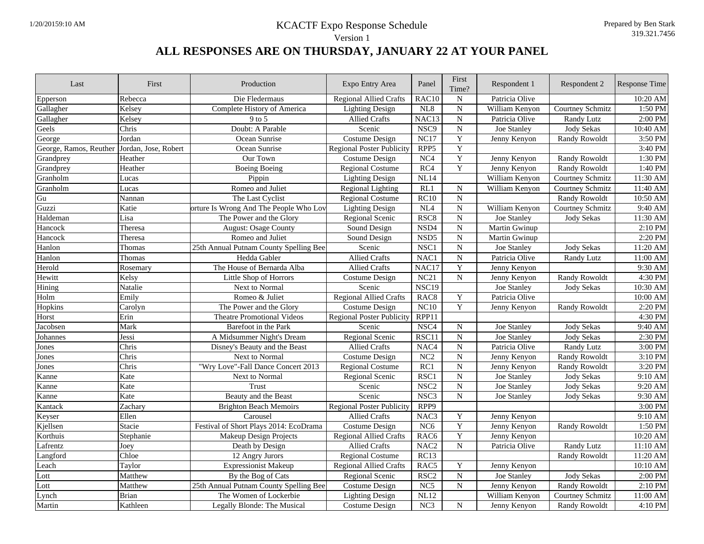| Last                   | First                | Production                             | Expo Entry Area                  | Panel             | First<br>Time?          | Respondent 1       | Respondent 2         | Response Time |
|------------------------|----------------------|----------------------------------------|----------------------------------|-------------------|-------------------------|--------------------|----------------------|---------------|
| Epperson               | Rebecca              | Die Fledermaus                         | <b>Regional Allied Crafts</b>    | RAC <sub>10</sub> | ${\bf N}$               | Patricia Olive     |                      | 10:20 AM      |
| Gallagher              | Kelsey               | Complete History of America            | <b>Lighting Design</b>           | NL8               | $\overline{N}$          | William Kenyon     | Courtney Schmitz     | 1:50 PM       |
| Gallagher              | Kelsey               | $9$ to 5                               | <b>Allied Crafts</b>             | NAC13             | $\overline{N}$          | Patricia Olive     | Randy Lutz           | 2:00 PM       |
| Geels                  | Chris                | Doubt: A Parable                       | Scenic                           | NSC <sub>9</sub>  | ${\bf N}$               | Joe Stanley        | <b>Jody Sekas</b>    | 10:40 AM      |
| George                 | Jordan               | Ocean Sunrise                          | <b>Costume Design</b>            | NC17              | $\overline{\textbf{Y}}$ | Jenny Kenyon       | <b>Randy Rowoldt</b> | 3:50 PM       |
| George, Ramos, Reuther | Jordan, Jose, Robert | Ocean Sunrise                          | <b>Regional Poster Publicity</b> | RPP <sub>5</sub>  | $\overline{Y}$          |                    |                      | 3:40 PM       |
| Grandprey              | Heather              | Our Town                               | Costume Design                   | NC4               | $\overline{\textbf{Y}}$ | Jenny Kenyon       | <b>Randy Rowoldt</b> | 1:30 PM       |
| Grandprey              | Heather              | <b>Boeing Boeing</b>                   | <b>Regional Costume</b>          | RC4               | $\overline{Y}$          | Jenny Kenyon       | <b>Randy Rowoldt</b> | 1:40 PM       |
| Granholm               | Lucas                | Pippin                                 | <b>Lighting Design</b>           | NL14              |                         | William Kenyon     | Courtney Schmitz     | 11:30 AM      |
| Granholm               | Lucas                | Romeo and Juliet                       | <b>Regional Lighting</b>         | RL1               | ${\bf N}$               | William Kenyon     | Courtney Schmitz     | 11:40 AM      |
| $\mathbf{G}\mathbf{u}$ | Nannan               | The Last Cyclist                       | <b>Regional Costume</b>          | RC10              | $\overline{\rm N}$      |                    | <b>Randy Rowoldt</b> | 10:50 AM      |
| Guzzi                  | Katie                | orture Is Wrong And The People Who Lov | <b>Lighting Design</b>           | NL4               | $\overline{N}$          | William Kenyon     | Courtney Schmitz     | 9:40 AM       |
| Haldeman               | Lisa                 | The Power and the Glory                | Regional Scenic                  | RSC <sub>8</sub>  | $\overline{N}$          | <b>Joe Stanley</b> | <b>Jody Sekas</b>    | 11:30 AM      |
| Hancock                | Theresa              | <b>August: Osage County</b>            | Sound Design                     | NSD4              | ${\bf N}$               | Martin Gwinup      |                      | 2:10 PM       |
| Hancock                | Theresa              | Romeo and Juliet                       | Sound Design                     | NSD <sub>5</sub>  | $\overline{\rm N}$      | Martin Gwinup      |                      | 2:20 PM       |
| Hanlon                 | Thomas               | 25th Annual Putnam County Spelling Bee | Scenic                           | NSC <sub>1</sub>  | $\overline{N}$          | Joe Stanley        | <b>Jody Sekas</b>    | 11:20 AM      |
| Hanlon                 | Thomas               | Hedda Gabler                           | <b>Allied Crafts</b>             | NAC1              | $\overline{N}$          | Patricia Olive     | Randy Lutz           | 11:00 AM      |
| Herold                 | Rosemary             | The House of Bernarda Alba             | <b>Allied Crafts</b>             | NAC17             | $\overline{\textbf{Y}}$ | Jenny Kenyon       |                      | 9:30 AM       |
| Hewitt                 | Kelsy                | Little Shop of Horrors                 | Costume Design                   | NC21              | $\overline{N}$          | Jenny Kenyon       | <b>Randy Rowoldt</b> | 4:30 PM       |
| Hining                 | Natalie              | Next to Normal                         | Scenic                           | NSC19             |                         | Joe Stanley        | <b>Jody Sekas</b>    | 10:30 AM      |
| Holm                   | Emily                | Romeo & Juliet                         | <b>Regional Allied Crafts</b>    | RAC <sub>8</sub>  | $\mathbf Y$             | Patricia Olive     |                      | 10:00 AM      |
| Hopkins                | Carolyn              | The Power and the Glory                | Costume Design                   | NC10              | $\overline{Y}$          | Jenny Kenyon       | <b>Randy Rowoldt</b> | 2:20 PM       |
| Horst                  | Erin                 | <b>Theatre Promotional Videos</b>      | <b>Regional Poster Publicity</b> | RPP11             |                         |                    |                      | 4:30 PM       |
| Jacobsen               | Mark                 | Barefoot in the Park                   | Scenic                           | NSC <sub>4</sub>  | ${\bf N}$               | Joe Stanley        | <b>Jody Sekas</b>    | 9:40 AM       |
| Johannes               | Jessi                | A Midsummer Night's Dream              | Regional Scenic                  | RSC11             | $\overline{\rm N}$      | Joe Stanley        | <b>Jody Sekas</b>    | 2:30 PM       |
| Jones                  | Chris                | Disney's Beauty and the Beast          | <b>Allied Crafts</b>             | NAC <sub>4</sub>  | $\overline{N}$          | Patricia Olive     | <b>Randy Lutz</b>    | 3:00 PM       |
| Jones                  | Chris                | Next to Normal                         | <b>Costume Design</b>            | $\overline{NC2}$  | $\overline{N}$          | Jenny Kenyon       | <b>Randy Rowoldt</b> | 3:10 PM       |
| Jones                  | Chris                | "Wry Love"-Fall Dance Concert 2013     | <b>Regional Costume</b>          | RC1               | $\overline{\rm N}$      | Jenny Kenyon       | <b>Randy Rowoldt</b> | 3:20 PM       |
| Kanne                  | Kate                 | Next to Normal                         | Regional Scenic                  | RSC <sub>1</sub>  | $\overline{\rm N}$      | Joe Stanley        | <b>Jody Sekas</b>    | 9:10 AM       |
| Kanne                  | Kate                 | Trust                                  | Scenic                           | NSC <sub>2</sub>  | $\overline{N}$          | Joe Stanley        | <b>Jody Sekas</b>    | $9:20$ AM     |
| Kanne                  | Kate                 | Beauty and the Beast                   | Scenic                           | NSC <sub>3</sub>  | $\overline{N}$          | Joe Stanley        | <b>Jody Sekas</b>    | 9:30 AM       |
| Kantack                | Zachary              | <b>Brighton Beach Memoirs</b>          | Regional Poster Publicity        | RPP9              |                         |                    |                      | 3:00 PM       |
| Keyser                 | Ellen                | Carousel                               | <b>Allied Crafts</b>             | NAC <sub>3</sub>  | Y                       | Jenny Kenyon       |                      | 9:10 AM       |
| Kjellsen               | Stacie               | Festival of Short Plays 2014: EcoDrama | <b>Costume Design</b>            | NC6               | $\overline{\textbf{Y}}$ | Jenny Kenyon       | <b>Randy Rowoldt</b> | 1:50 PM       |
| Korthuis               | Stephanie            | Makeup Design Projects                 | <b>Regional Allied Crafts</b>    | RAC <sub>6</sub>  | $\mathbf Y$             | Jenny Kenyon       |                      | 10:20 AM      |
| Lafrentz               | Joey                 | Death by Design                        | <b>Allied Crafts</b>             | NAC <sub>2</sub>  | ${\bf N}$               | Patricia Olive     | Randy Lutz           | 11:10 AM      |
| Langford               | Chloe                | 12 Angry Jurors                        | <b>Regional Costume</b>          | RC13              |                         |                    | <b>Randy Rowoldt</b> | 11:20 AM      |
| Leach                  | Taylor               | <b>Expressionist Makeup</b>            | <b>Regional Allied Crafts</b>    | RAC <sub>5</sub>  | $\overline{Y}$          | Jenny Kenyon       |                      | 10:10 AM      |
| Lott                   | Matthew              | By the Bog of Cats                     | Regional Scenic                  | RSC <sub>2</sub>  | ${\bf N}$               | Joe Stanley        | <b>Jody Sekas</b>    | 2:00 PM       |
| Lott                   | Matthew              | 25th Annual Putnam County Spelling Bee | <b>Costume Design</b>            | NC5               | ${\bf N}$               | Jenny Kenyon       | <b>Randy Rowoldt</b> | 2:10 PM       |
| Lynch                  | <b>Brian</b>         | The Women of Lockerbie                 | <b>Lighting Design</b>           | NL12              |                         | William Kenyon     | Courtney Schmitz     | 11:00 AM      |
| Martin                 | Kathleen             | Legally Blonde: The Musical            | Costume Design                   | NC3               | $\overline{N}$          | Jenny Kenyon       | <b>Randy Rowoldt</b> | 4:10 PM       |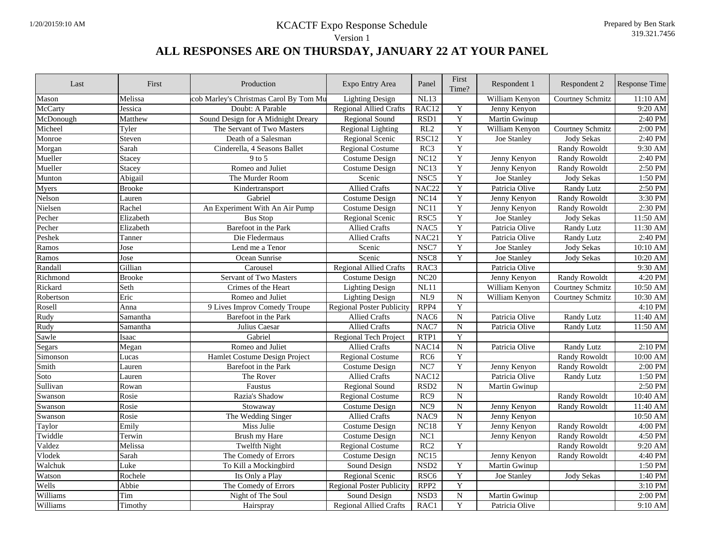| Last      | First         | Production                             | Expo Entry Area                  | Panel             | First<br>Time?          | Respondent 1   | Respondent 2            | <b>Response Time</b> |
|-----------|---------------|----------------------------------------|----------------------------------|-------------------|-------------------------|----------------|-------------------------|----------------------|
| Mason     | Melissa       | cob Marley's Christmas Carol By Tom Mu | <b>Lighting Design</b>           | NL13              |                         | William Kenyon | Courtney Schmitz        | 11:10 AM             |
| McCarty   | Jessica       | Doubt: A Parable                       | <b>Regional Allied Crafts</b>    | RAC12             | $\mathbf Y$             | Jenny Kenyon   |                         | 9:20 AM              |
| McDonough | Matthew       | Sound Design for A Midnight Dreary     | Regional Sound                   | RSD1              | $\mathbf Y$             | Martin Gwinup  |                         | $2:40$ PM            |
| Micheel   | Tyler         | The Servant of Two Masters             | <b>Regional Lighting</b>         | RL2               | $\overline{Y}$          | William Kenyon | Courtney Schmitz        | 2:00 PM              |
| Monroe    | Steven        | Death of a Salesman                    | Regional Scenic                  | RSC12             | $\overline{Y}$          | Joe Stanley    | <b>Jody Sekas</b>       | 2:40 PM              |
| Morgan    | Sarah         | Cinderella, 4 Seasons Ballet           | <b>Regional Costume</b>          | RC3               | $\overline{Y}$          |                | <b>Randy Rowoldt</b>    | 9:30 AM              |
| Mueller   | <b>Stacey</b> | $9$ to 5                               | <b>Costume Design</b>            | NC12              | $\overline{Y}$          | Jenny Kenyon   | <b>Randy Rowoldt</b>    | 2:40 PM              |
| Mueller   | Stacey        | Romeo and Juliet                       | Costume Design                   | NC13              | $\overline{\mathbf{Y}}$ | Jenny Kenyon   | <b>Randy Rowoldt</b>    | 2:50 PM              |
| Munton    | Abigail       | The Murder Room                        | Scenic                           | NSC <sub>5</sub>  | Y                       | Joe Stanley    | <b>Jody Sekas</b>       | 1:50 PM              |
| Myers     | <b>Brooke</b> | Kindertransport                        | <b>Allied Crafts</b>             | NAC <sub>22</sub> | $\overline{Y}$          | Patricia Olive | Randy Lutz              | 2:50 PM              |
| Nelson    | Lauren        | Gabriel                                | <b>Costume Design</b>            | NC14              | $\mathbf Y$             | Jenny Kenyon   | <b>Randy Rowoldt</b>    | 3:30 PM              |
| Nielsen   | Rachel        | An Experiment With An Air Pump         | <b>Costume Design</b>            | NC11              | $\overline{\mathbf{Y}}$ | Jenny Kenyon   | <b>Randy Rowoldt</b>    | 2:30 PM              |
| Pecher    | Elizabeth     | <b>Bus Stop</b>                        | Regional Scenic                  | RSC <sub>5</sub>  | $\overline{\mathbf{Y}}$ | Joe Stanley    | <b>Jody Sekas</b>       | 11:50 AM             |
| Pecher    | Elizabeth     | Barefoot in the Park                   | <b>Allied Crafts</b>             | NAC <sub>5</sub>  | $\overline{\mathbf{Y}}$ | Patricia Olive | Randy Lutz              | 11:30 AM             |
| Peshek    | Tanner        | Die Fledermaus                         | <b>Allied Crafts</b>             | NAC <sub>21</sub> | Y                       | Patricia Olive | Randy Lutz              | 2:40 PM              |
| Ramos     | Jose          | Lend me a Tenor                        | Scenic                           | NSC7              | $\overline{\mathbf{Y}}$ | Joe Stanley    | <b>Jody Sekas</b>       | 10:10 AM             |
| Ramos     | Jose          | Ocean Sunrise                          | Scenic                           | NSC <sub>8</sub>  | $\overline{Y}$          | Joe Stanley    | <b>Jody Sekas</b>       | 10:20 AM             |
| Randall   | Gillian       | Carousel                               | <b>Regional Allied Crafts</b>    | RAC3              |                         | Patricia Olive |                         | 9:30 AM              |
| Richmond  | <b>Brooke</b> | <b>Servant of Two Masters</b>          | Costume Design                   | NC20              |                         | Jenny Kenyon   | <b>Randy Rowoldt</b>    | 4:20 PM              |
| Rickard   | Seth          | Crimes of the Heart                    | <b>Lighting Design</b>           | NL11              |                         | William Kenyon | Courtney Schmitz        | 10:50 AM             |
| Robertson | Eric          | Romeo and Juliet                       | <b>Lighting Design</b>           | NL9               | ${\bf N}$               | William Kenyon | <b>Courtney Schmitz</b> | 10:30 AM             |
| Rosell    | Anna          | 9 Lives Improv Comedy Troupe           | <b>Regional Poster Publicity</b> | RPP4              | Y                       |                |                         | 4:10 PM              |
| Rudy      | Samantha      | Barefoot in the Park                   | <b>Allied Crafts</b>             | NAC <sub>6</sub>  | ${\bf N}$               | Patricia Olive | <b>Randy Lutz</b>       | 11:40 AM             |
| Rudy      | Samantha      | Julius Caesar                          | <b>Allied Crafts</b>             | NAC7              | $\overline{N}$          | Patricia Olive | Randy Lutz              | 11:50 AM             |
| Sawle     | Isaac         | Gabriel                                | Regional Tech Project            | RTP1              | $\overline{Y}$          |                |                         |                      |
| Segars    | Megan         | Romeo and Juliet                       | Allied Crafts                    | NAC <sub>14</sub> | $\overline{N}$          | Patricia Olive | <b>Randy Lutz</b>       | 2:10 PM              |
| Simonson  | Lucas         | Hamlet Costume Design Project          | <b>Regional Costume</b>          | RC6               | $\overline{\mathbf{Y}}$ |                | Randy Rowoldt           | 10:00 AM             |
| Smith     | Lauren        | Barefoot in the Park                   | <b>Costume Design</b>            | NC7               | $\overline{\mathbf{Y}}$ | Jenny Kenyon   | <b>Randy Rowoldt</b>    | 2:00 PM              |
| Soto      | Lauren        | The Rover                              | <b>Allied Crafts</b>             | NAC <sub>12</sub> |                         | Patricia Olive | <b>Randy Lutz</b>       | 1:50 PM              |
| Sullivan  | Rowan         | Faustus                                | <b>Regional Sound</b>            | RSD <sub>2</sub>  | $\overline{N}$          | Martin Gwinup  |                         | 2:50 PM              |
| Swanson   | Rosie         | Razia's Shadow                         | <b>Regional Costume</b>          | RC9               | $\overline{N}$          |                | Randy Rowoldt           | 10:40 AM             |
| Swanson   | Rosie         | Stowaway                               | <b>Costume Design</b>            | NC9               | ${\bf N}$               | Jenny Kenyon   | <b>Randy Rowoldt</b>    | 11:40 AM             |
| Swanson   | Rosie         | The Wedding Singer                     | <b>Allied Crafts</b>             | NAC <sub>9</sub>  | $\overline{\text{N}}$   | Jenny Kenyon   |                         | $10:50$ AM           |
| Taylor    | Emily         | Miss Julie                             | <b>Costume Design</b>            | NC18              | $\overline{Y}$          | Jenny Kenyon   | <b>Randy Rowoldt</b>    | 4:00 PM              |
| Twiddle   | Terwin        | Brush my Hare                          | <b>Costume Design</b>            | NC1               |                         | Jenny Kenyon   | <b>Randy Rowoldt</b>    | 4:50 PM              |
| Valdez    | Melissa       | <b>Twelfth Night</b>                   | <b>Regional Costume</b>          | RC2               | $\overline{\textbf{Y}}$ |                | <b>Randy Rowoldt</b>    | 9:20 AM              |
| Vlodek    | Sarah         | The Comedy of Errors                   | <b>Costume Design</b>            | NC15              |                         | Jenny Kenyon   | <b>Randy Rowoldt</b>    | 4:40 PM              |
| Walchuk   | Luke          | To Kill a Mockingbird                  | Sound Design                     | NSD <sub>2</sub>  | $\overline{Y}$          | Martin Gwinup  |                         | 1:50 PM              |
| Watson    | Rochele       | Its Only a Play                        | Regional Scenic                  | RSC <sub>6</sub>  | $\overline{Y}$          | Joe Stanley    | <b>Jody Sekas</b>       | 1:40 PM              |
| Wells     | Abbie         | The Comedy of Errors                   | <b>Regional Poster Publicity</b> | RPP <sub>2</sub>  | $\overline{Y}$          |                |                         | 3:10 PM              |
| Williams  | Tim           | Night of The Soul                      | Sound Design                     | NSD3              | $\overline{\text{N}}$   | Martin Gwinup  |                         | 2:00 PM              |
| Williams  | Timothy       | Hairspray                              | <b>Regional Allied Crafts</b>    | RAC1              | $\overline{Y}$          | Patricia Olive |                         | 9:10 AM              |